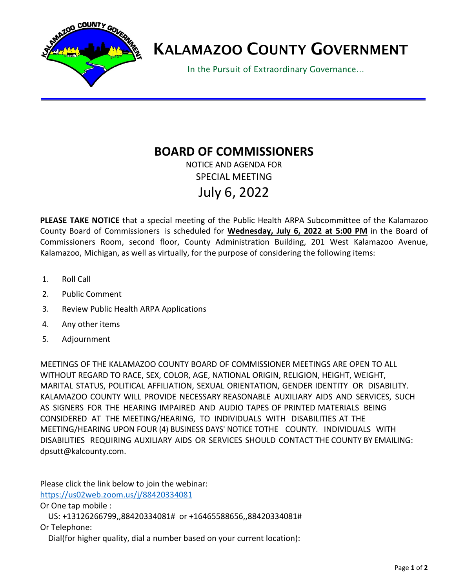

## KALAMAZOO COUNTY GOVERNMENT

In the Pursuit of Extraordinary Governance…

## **BOARD OF COMMISSIONERS**

NOTICE AND AGENDA FOR SPECIAL MEETING July 6, 2022

**PLEASE TAKE NOTICE** that a special meeting of the Public Health ARPA Subcommittee of the Kalamazoo County Board of Commissioners is scheduled for **Wednesday, July 6, 2022 at 5:00 PM** in the Board of Commissioners Room, second floor, County Administration Building, 201 West Kalamazoo Avenue, Kalamazoo, Michigan, as well as virtually, for the purpose of considering the following items:

- 1. Roll Call
- 2. Public Comment
- 3. Review Public Health ARPA Applications
- 4. Any other items
- 5. Adjournment

MEETINGS OF THE KALAMAZOO COUNTY BOARD OF COMMISSIONER MEETINGS ARE OPEN TO ALL WITHOUT REGARD TO RACE, SEX, COLOR, AGE, NATIONAL ORIGIN, RELIGION, HEIGHT, WEIGHT, MARITAL STATUS, POLITICAL AFFILIATION, SEXUAL ORIENTATION, GENDER IDENTITY OR DISABILITY. KALAMAZOO COUNTY WILL PROVIDE NECESSARY REASONABLE AUXILIARY AIDS AND SERVICES, SUCH AS SIGNERS FOR THE HEARING IMPAIRED AND AUDIO TAPES OF PRINTED MATERIALS BEING CONSIDERED AT THE MEETING/HEARING, TO INDIVIDUALS WITH DISABILITIES AT THE MEETING/HEARING UPON FOUR (4) BUSINESS DAYS' NOTICE TOTHE COUNTY. INDIVIDUALS WITH DISABILITIES REQUIRING AUXILIARY AIDS OR SERVICES SHOULD CONTACT THE COUNTY BY EMAILING: [dpsutt@kalcounty.c](mailto:dpsutt@kalcounty.com)om.

Please click the link below to join the webinar: <https://us02web.zoom.us/j/88420334081>

Or One tap mobile :

US: +13126266799,,88420334081# or +16465588656,,88420334081#

Or Telephone:

Dial(for higher quality, dial a number based on your current location):